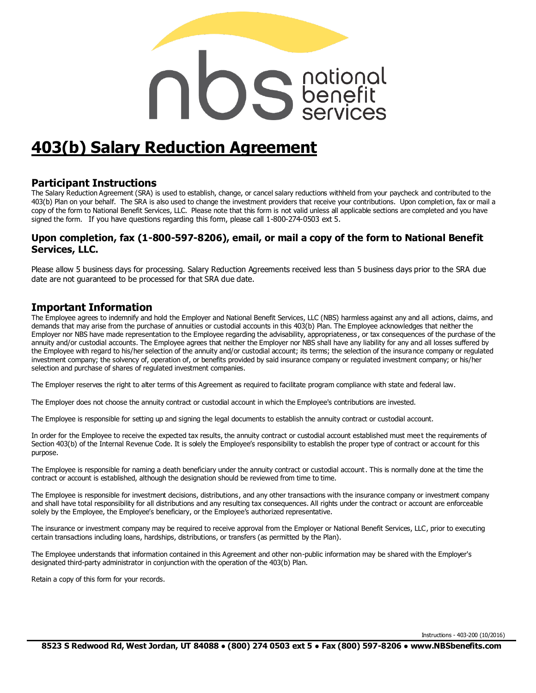# **OS** Senefit

# **403(b) Salary Reduction Agreement**

### **Participant Instructions**

The Salary Reduction Agreement (SRA) is used to establish, change, or cancel salary reductions withheld from your paycheck and contributed to the 403(b) Plan on your behalf. The SRA is also used to change the investment providers that receive your contributions. Upon completion, fax or mail a copy of the form to National Benefit Services, LLC. Please note that this form is not valid unless all applicable sections are completed and you have signed the form. If you have questions regarding this form, please call 1-800-274-0503 ext 5.

### **Upon completion, fax (1-800-597-8206), email, or mail a copy of the form to National Benefit Services, LLC.**

Please allow 5 business days for processing. Salary Reduction Agreements received less than 5 business days prior to the SRA due date are not guaranteed to be processed for that SRA due date.

### **Important Information**

The Employee agrees to indemnify and hold the Employer and National Benefit Services, LLC (NBS) harmless against any and all actions, claims, and demands that may arise from the purchase of annuities or custodial accounts in this 403(b) Plan. The Employee acknowledges that neither the Employer nor NBS have made representation to the Employee regarding the advisability, appropriateness , or tax consequences of the purchase of the annuity and/or custodial accounts. The Employee agrees that neither the Employer nor NBS shall have any liability for any and all losses suffered by the Employee with regard to his/her selection of the annuity and/or custodial account; its terms; the selection of the insurance company or regulated investment company; the solvency of, operation of, or benefits provided by said insurance company or regulated investment company; or his/her selection and purchase of shares of regulated investment companies.

The Employer reserves the right to alter terms of this Agreement as required to facilitate program compliance with state and federal law.

The Employer does not choose the annuity contract or custodial account in which the Employee's contributions are invested.

The Employee is responsible for setting up and signing the legal documents to establish the annuity contract or custodial account.

In order for the Employee to receive the expected tax results, the annuity contract or custodial account established must meet the requirements of Section 403(b) of the Internal Revenue Code. It is solely the Employee's responsibility to establish the proper type of contract or account for this purpose.

The Employee is responsible for naming a death beneficiary under the annuity contract or custodial account. This is normally done at the time the contract or account is established, although the designation should be reviewed from time to time.

The Employee is responsible for investment decisions, distributions, and any other transactions with the insurance company or investment company and shall have total responsibility for all distributions and any resulting tax consequences. All rights under the contract or account are enforceable solely by the Employee, the Employee's beneficiary, or the Employee's authorized representative.

The insurance or investment company may be required to receive approval from the Employer or National Benefit Services, LLC, prior to executing certain transactions including loans, hardships, distributions, or transfers (as permitted by the Plan).

The Employee understands that information contained in this Agreement and other non-public information may be shared with the Employer's designated third-party administrator in conjunction with the operation of the 403(b) Plan.

Retain a copy of this form for your records.

Instructions - 403-200 (10/2016)